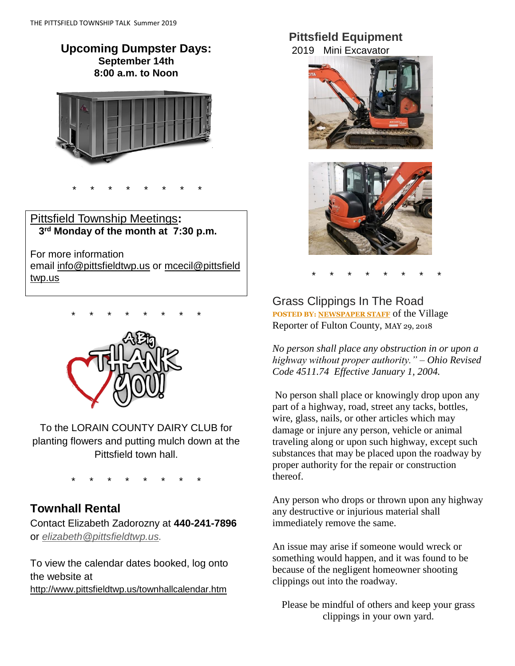### **Upcoming Dumpster Days: September 14th 8:00 a.m. to Noon**



# Pittsfield Township Meetings**: 3 rd Monday of the month at 7:30 p.m.**

\* \* \* \* \* \* \* \*

For more information email [info@pittsfieldtwp.us](mailto:info@pittsfieldtwp.u) or [mcecil@pittsfield](mailto:tdiedrick@pittsfieldtwp.us) [twp.us](mailto:tdiedrick@pittsfieldtwp.us)



To the LORAIN COUNTY DAIRY CLUB for planting flowers and putting mulch down at the Pittsfield town hall.

\* \* \* \* \* \* \* \*

## **Townhall Rental**

Contact Elizabeth Zadorozny at **440-241-7896** or *[elizabeth@pittsfieldtwp.us.](mailto:elizabeth@pittsfieldtwp.us)*

To view the calendar dates booked, log onto the website at <http://www.pittsfieldtwp.us/townhallcalendar.htm>

### **Pittsfield Equipment**

2019 Mini Excavator





\* \* \* \* \* \* \* \*

### Grass Clippings In The Road **POSTED BY: [NEWSPAPER STAFF](http://thevillagereporter.com/author/villagereporter/)** of the Village Reporter of Fulton County, MAY 29, 2018

*No person shall place any obstruction in or upon a highway without proper authority." – Ohio Revised Code 4511.74 Effective January 1, 2004.*

No person shall place or knowingly drop upon any part of a highway, road, street any tacks, bottles, wire, glass, nails, or other articles which may damage or injure any person, vehicle or animal traveling along or upon such highway, except such substances that may be placed upon the roadway by proper authority for the repair or construction thereof.

Any person who drops or thrown upon any highway any destructive or injurious material shall immediately remove the same.

An issue may arise if someone would wreck or something would happen, and it was found to be because of the negligent homeowner shooting clippings out into the roadway.

Please be mindful of others and keep your grass clippings in your own yard.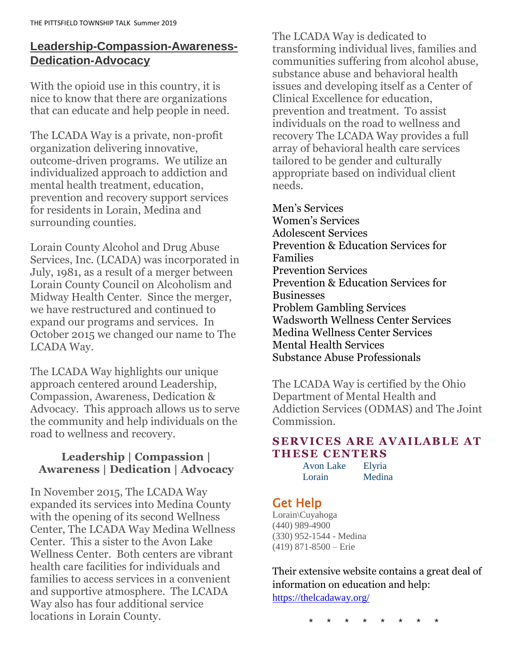# **Leadership-Compassion-Awareness-Dedication-Advocacy**

With the opioid use in this country, it is nice to know that there are organizations that can educate and help people in need.

The LCADA Way is a private, non-profit organization delivering innovative, outcome-driven programs. We utilize an individualized approach to addiction and mental health treatment, education, prevention and recovery support services for residents in Lorain, Medina and surrounding counties.

Lorain County Alcohol and Drug Abuse Services, Inc. (LCADA) was incorporated in July, 1981, as a result of a merger between Lorain County Council on Alcoholism and Midway Health Center. Since the merger, we have restructured and continued to expand our programs and services. In October 2015 we changed our name to The LCADA Way.

The LCADA Way highlights our unique approach centered around Leadership, Compassion, Awareness, Dedication & Advocacy. This approach allows us to serve the community and help individuals on the road to wellness and recovery.

### **Leadership | Compassion | Awareness | Dedication | Advocacy**

In November 2015, The LCADA Way expanded its services into Medina County with the opening of its second Wellness Center, The LCADA Way Medina Wellness Center. This a sister to the Avon Lake Wellness Center. Both centers are vibrant health care facilities for individuals and families to access services in a convenient and supportive atmosphere. The LCADA Way also has four additional service locations in Lorain County.

The LCADA Way is dedicated to transforming individual lives, families and communities suffering from alcohol abuse, substance abuse and behavioral health issues and developing itself as a Center of Clinical Excellence for education, prevention and treatment. To assist individuals on the road to wellness and recovery The LCADA Way provides a full array of behavioral health care services tailored to be gender and culturally appropriate based on individual client needs.

[Men's Services](https://thelcadaway.org/services/mens-services) [Women's](https://thelcadaway.org/services/womens-services) Services [Adolescent Services](https://thelcadaway.org/services/adolescent-services) [Prevention & Education Services for](https://thelcadaway.org/services/family-services)  [Families](https://thelcadaway.org/services/family-services) [Prevention Services](https://thelcadaway.org/services/prevention-services) [Prevention & Education Services for](https://thelcadaway.org/services/services-for-employers)  [Businesses](https://thelcadaway.org/services/services-for-employers) [Problem Gambling Services](https://thelcadaway.org/services/problem-gambling-services) [Wadsworth Wellness Center Services](https://thelcadaway.org/services/wadsworth-wellness-center-services) [Medina Wellness Center Services](https://thelcadaway.org/services/medina-wellness-center-services) [Mental Health Services](https://thelcadaway.org/services/mental-health-services) Substance Abuse Professionals

The LCADA Way is certified by the Ohio Department of Mental Health and Addiction Services (ODMAS) and The Joint Commission.

### **SERVICES ARE AVAILABLE AT THESE CENTERS**

| Avon Lake | Elyria |
|-----------|--------|
| Lorain    | Medina |

# Get Help

Lorain\Cuyahoga (440) 989-4900 (330) 952-1544 - Medina (419) 871-8500 – Erie

Their extensive website contains a great deal of information on education and help: <https://thelcadaway.org/>

\* \* \* \* \* \* \* \*